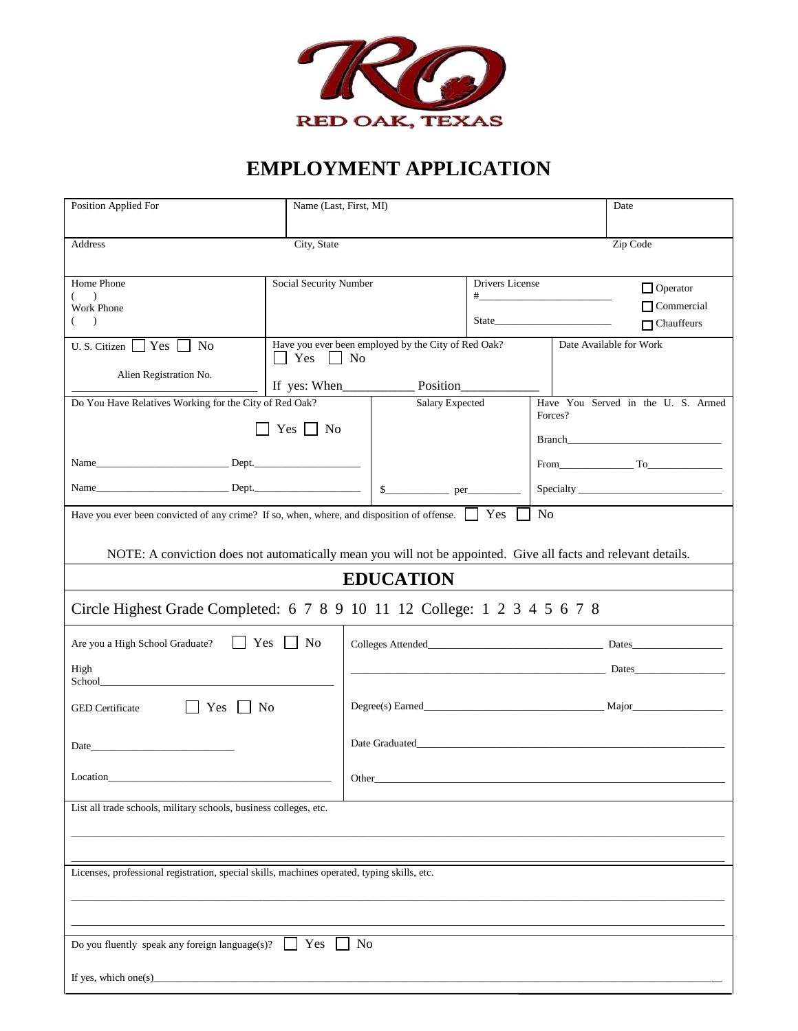

# **EMPLOYMENT APPLICATION**

| Position Applied For                                                                                                                                                                                                               |                        | Name (Last, First, MI)                                                                                                                                                                |                 |                                                                                                                                                                                                                               | Date                                   |  |
|------------------------------------------------------------------------------------------------------------------------------------------------------------------------------------------------------------------------------------|------------------------|---------------------------------------------------------------------------------------------------------------------------------------------------------------------------------------|-----------------|-------------------------------------------------------------------------------------------------------------------------------------------------------------------------------------------------------------------------------|----------------------------------------|--|
| City, State<br>Zip Code<br>Address                                                                                                                                                                                                 |                        |                                                                                                                                                                                       |                 |                                                                                                                                                                                                                               |                                        |  |
| Home Phone<br>$\overline{\phantom{a}}$                                                                                                                                                                                             | Social Security Number |                                                                                                                                                                                       | Drivers License |                                                                                                                                                                                                                               | $\Box$ Operator                        |  |
| Work Phone<br>$\rightarrow$                                                                                                                                                                                                        |                        |                                                                                                                                                                                       |                 | State State State State State State State State State State State State State State State State State State State State State State State State State State State State State State State State State State State State State | $\Box$ Commercial<br>$\Box$ Chauffeurs |  |
| <b>No</b><br>U.S. Citizen Yes<br>Alien Registration No.                                                                                                                                                                            | Yes<br>No              | Have you ever been employed by the City of Red Oak?                                                                                                                                   |                 |                                                                                                                                                                                                                               | Date Available for Work                |  |
|                                                                                                                                                                                                                                    |                        |                                                                                                                                                                                       |                 |                                                                                                                                                                                                                               |                                        |  |
| Do You Have Relatives Working for the City of Red Oak?                                                                                                                                                                             |                        | Salary Expected<br>Forces?                                                                                                                                                            |                 |                                                                                                                                                                                                                               | Have You Served in the U. S. Armed     |  |
|                                                                                                                                                                                                                                    | $Yes \mid \mid No$     |                                                                                                                                                                                       |                 |                                                                                                                                                                                                                               |                                        |  |
|                                                                                                                                                                                                                                    |                        |                                                                                                                                                                                       |                 |                                                                                                                                                                                                                               | $From$ $T_0$                           |  |
|                                                                                                                                                                                                                                    |                        |                                                                                                                                                                                       |                 |                                                                                                                                                                                                                               |                                        |  |
| N <sub>o</sub><br>Have you ever been convicted of any crime? If so, when, where, and disposition of offense. Ves<br>NOTE: A conviction does not automatically mean you will not be appointed. Give all facts and relevant details. |                        |                                                                                                                                                                                       |                 |                                                                                                                                                                                                                               |                                        |  |
| <b>EDUCATION</b>                                                                                                                                                                                                                   |                        |                                                                                                                                                                                       |                 |                                                                                                                                                                                                                               |                                        |  |
| Circle Highest Grade Completed: 6 7 8 9 10 11 12 College: 1 2 3 4 5 6 7 8                                                                                                                                                          |                        |                                                                                                                                                                                       |                 |                                                                                                                                                                                                                               |                                        |  |
| $Yes \Box No$<br>Are you a High School Graduate?                                                                                                                                                                                   |                        |                                                                                                                                                                                       |                 |                                                                                                                                                                                                                               |                                        |  |
| High<br>School____                                                                                                                                                                                                                 |                        | <u>Dates</u> <b>Dates Dates Dates Dates Dates Dates Dates Dates Dates Dates Dates Dates Dates Dates Dates Dates Dates Dates Dates Dates Dates Dates Dates Dates Dates Dates Dates</b> |                 |                                                                                                                                                                                                                               |                                        |  |
| $\Box$ Yes $\Box$ No<br><b>GED</b> Certificate                                                                                                                                                                                     |                        |                                                                                                                                                                                       |                 |                                                                                                                                                                                                                               |                                        |  |
| Date<br><u> 1989 - Johann Barbara, martin a</u>                                                                                                                                                                                    |                        |                                                                                                                                                                                       |                 |                                                                                                                                                                                                                               |                                        |  |
| Location                                                                                                                                                                                                                           |                        | Other                                                                                                                                                                                 |                 |                                                                                                                                                                                                                               |                                        |  |
| List all trade schools, military schools, business colleges, etc.                                                                                                                                                                  |                        |                                                                                                                                                                                       |                 |                                                                                                                                                                                                                               |                                        |  |
|                                                                                                                                                                                                                                    |                        |                                                                                                                                                                                       |                 |                                                                                                                                                                                                                               |                                        |  |
| Licenses, professional registration, special skills, machines operated, typing skills, etc.                                                                                                                                        |                        |                                                                                                                                                                                       |                 |                                                                                                                                                                                                                               |                                        |  |
|                                                                                                                                                                                                                                    |                        |                                                                                                                                                                                       |                 |                                                                                                                                                                                                                               |                                        |  |
| Yes<br>Do you fluently speak any foreign language(s)?<br>No                                                                                                                                                                        |                        |                                                                                                                                                                                       |                 |                                                                                                                                                                                                                               |                                        |  |
|                                                                                                                                                                                                                                    |                        |                                                                                                                                                                                       |                 |                                                                                                                                                                                                                               |                                        |  |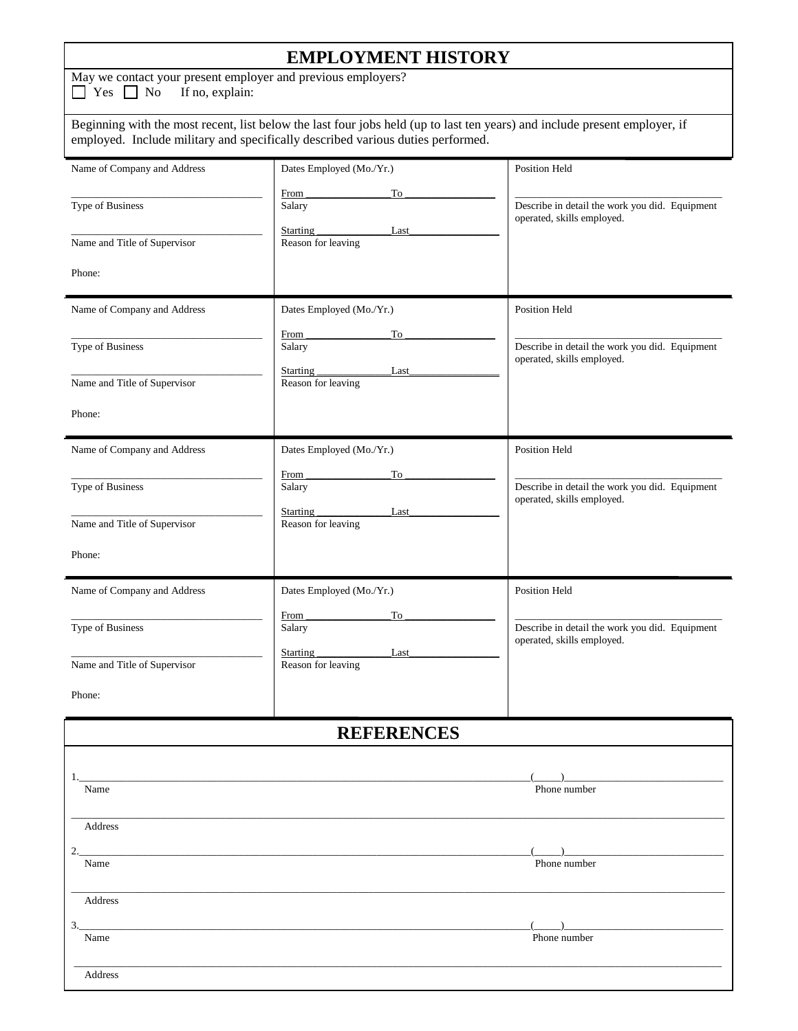## **EMPLOYMENT HISTORY**

May we contact your present employer and previous employers?<br> $\Box$  Yes  $\Box$  No If no, explain:

 $\Box$  Yes  $\Box$  No

Beginning with the most recent, list below the last four jobs held (up to last ten years) and include present employer, if employed. Include military and specifically described various duties performed.

| Name of Company and Address  | Dates Employed (Mo./Yr.)                                                                                             | Position Held                                                                                                                                                                                                                                                                                                                                       |  |  |  |
|------------------------------|----------------------------------------------------------------------------------------------------------------------|-----------------------------------------------------------------------------------------------------------------------------------------------------------------------------------------------------------------------------------------------------------------------------------------------------------------------------------------------------|--|--|--|
| Type of Business             | From<br>To<br>Salary                                                                                                 | Describe in detail the work you did. Equipment<br>operated, skills employed.                                                                                                                                                                                                                                                                        |  |  |  |
| Name and Title of Supervisor | Starting _<br>Last<br>Reason for leaving                                                                             |                                                                                                                                                                                                                                                                                                                                                     |  |  |  |
| Phone:                       |                                                                                                                      |                                                                                                                                                                                                                                                                                                                                                     |  |  |  |
| Name of Company and Address  | Dates Employed (Mo./Yr.)                                                                                             | Position Held                                                                                                                                                                                                                                                                                                                                       |  |  |  |
| Type of Business             | From<br>To<br>Salary                                                                                                 | Describe in detail the work you did. Equipment<br>operated, skills employed.                                                                                                                                                                                                                                                                        |  |  |  |
| Name and Title of Supervisor | Starting _<br>Last<br>Reason for leaving                                                                             |                                                                                                                                                                                                                                                                                                                                                     |  |  |  |
| Phone:                       |                                                                                                                      |                                                                                                                                                                                                                                                                                                                                                     |  |  |  |
| Name of Company and Address  | Dates Employed (Mo./Yr.)                                                                                             | Position Held                                                                                                                                                                                                                                                                                                                                       |  |  |  |
| Type of Business             | From<br>To<br>Salary                                                                                                 | Describe in detail the work you did. Equipment<br>operated, skills employed.                                                                                                                                                                                                                                                                        |  |  |  |
| Name and Title of Supervisor | Starting<br>Last<br>Reason for leaving                                                                               |                                                                                                                                                                                                                                                                                                                                                     |  |  |  |
| Phone:                       |                                                                                                                      |                                                                                                                                                                                                                                                                                                                                                     |  |  |  |
| Name of Company and Address  | Dates Employed (Mo./Yr.)                                                                                             | <b>Position Held</b>                                                                                                                                                                                                                                                                                                                                |  |  |  |
| Type of Business             | From<br>To<br>Salary                                                                                                 | Describe in detail the work you did. Equipment<br>operated, skills employed.                                                                                                                                                                                                                                                                        |  |  |  |
| Name and Title of Supervisor | Last<br>Starting<br>Reason for leaving                                                                               |                                                                                                                                                                                                                                                                                                                                                     |  |  |  |
| Phone:                       |                                                                                                                      |                                                                                                                                                                                                                                                                                                                                                     |  |  |  |
| <b>REFERENCES</b>            |                                                                                                                      |                                                                                                                                                                                                                                                                                                                                                     |  |  |  |
| Name                         |                                                                                                                      | Phone number                                                                                                                                                                                                                                                                                                                                        |  |  |  |
|                              |                                                                                                                      |                                                                                                                                                                                                                                                                                                                                                     |  |  |  |
| Address<br>2.                | <u> 1989 - Johann John Stein, markin fan it ferstjer fan it ferstjer fan it ferstjer fan it ferstjer fan it fers</u> |                                                                                                                                                                                                                                                                                                                                                     |  |  |  |
| Name                         |                                                                                                                      | Phone number                                                                                                                                                                                                                                                                                                                                        |  |  |  |
| Address<br>3.                |                                                                                                                      | $\begin{picture}(20,10) \put(0,0){\line(1,0){10}} \put(15,0){\line(1,0){10}} \put(15,0){\line(1,0){10}} \put(15,0){\line(1,0){10}} \put(15,0){\line(1,0){10}} \put(15,0){\line(1,0){10}} \put(15,0){\line(1,0){10}} \put(15,0){\line(1,0){10}} \put(15,0){\line(1,0){10}} \put(15,0){\line(1,0){10}} \put(15,0){\line(1,0){10}} \put(15,0){\line(1$ |  |  |  |
| Name                         |                                                                                                                      | Phone number                                                                                                                                                                                                                                                                                                                                        |  |  |  |
| Address                      |                                                                                                                      |                                                                                                                                                                                                                                                                                                                                                     |  |  |  |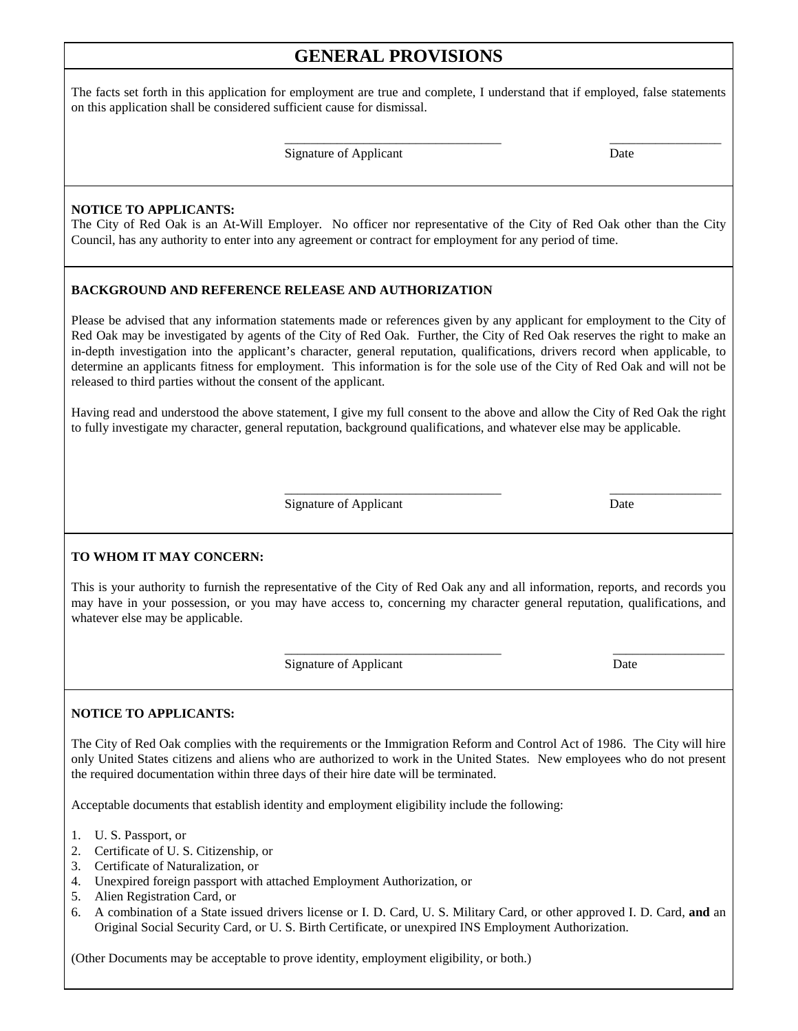## **GENERAL PROVISIONS**

The facts set forth in this application for employment are true and complete, I understand that if employed, false statements on this application shall be considered sufficient cause for dismissal.

 $\overline{\phantom{a}}$  , and the contract of the contract of the contract of the contract of the contract of the contract of the contract of the contract of the contract of the contract of the contract of the contract of the contrac

Signature of Applicant Date

#### **NOTICE TO APPLICANTS:**

The City of Red Oak is an At-Will Employer. No officer nor representative of the City of Red Oak other than the City Council, has any authority to enter into any agreement or contract for employment for any period of time.

#### **BACKGROUND AND REFERENCE RELEASE AND AUTHORIZATION**

Please be advised that any information statements made or references given by any applicant for employment to the City of Red Oak may be investigated by agents of the City of Red Oak. Further, the City of Red Oak reserves the right to make an in-depth investigation into the applicant's character, general reputation, qualifications, drivers record when applicable, to determine an applicants fitness for employment. This information is for the sole use of the City of Red Oak and will not be released to third parties without the consent of the applicant.

Having read and understood the above statement, I give my full consent to the above and allow the City of Red Oak the right to fully investigate my character, general reputation, background qualifications, and whatever else may be applicable.

Signature of Applicant Date

 $\overline{\phantom{a}}$  , and the contract of the contract of the contract of the contract of the contract of the contract of the contract of the contract of the contract of the contract of the contract of the contract of the contrac

#### **TO WHOM IT MAY CONCERN:**

This is your authority to furnish the representative of the City of Red Oak any and all information, reports, and records you may have in your possession, or you may have access to, concerning my character general reputation, qualifications, and whatever else may be applicable.

 $\frac{1}{2}$  ,  $\frac{1}{2}$  ,  $\frac{1}{2}$  ,  $\frac{1}{2}$  ,  $\frac{1}{2}$  ,  $\frac{1}{2}$  ,  $\frac{1}{2}$  ,  $\frac{1}{2}$  ,  $\frac{1}{2}$  ,  $\frac{1}{2}$  ,  $\frac{1}{2}$  ,  $\frac{1}{2}$  ,  $\frac{1}{2}$  ,  $\frac{1}{2}$  ,  $\frac{1}{2}$  ,  $\frac{1}{2}$  ,  $\frac{1}{2}$  ,  $\frac{1}{2}$  ,  $\frac{1$ Signature of Applicant Date

#### **NOTICE TO APPLICANTS:**

The City of Red Oak complies with the requirements or the Immigration Reform and Control Act of 1986. The City will hire only United States citizens and aliens who are authorized to work in the United States. New employees who do not present the required documentation within three days of their hire date will be terminated.

Acceptable documents that establish identity and employment eligibility include the following:

- 1. U. S. Passport, or
- 2. Certificate of U. S. Citizenship, or
- 3. Certificate of Naturalization, or
- 4. Unexpired foreign passport with attached Employment Authorization, or
- 5. Alien Registration Card, or
- 6. A combination of a State issued drivers license or I. D. Card, U. S. Military Card, or other approved I. D. Card, **and** an Original Social Security Card, or U. S. Birth Certificate, or unexpired INS Employment Authorization.

(Other Documents may be acceptable to prove identity, employment eligibility, or both.)